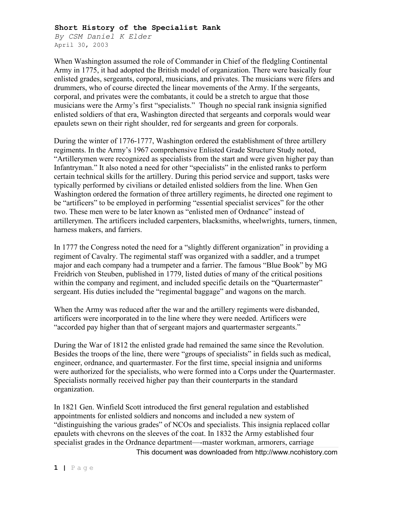## **Short History of the Specialist Rank**

*By CSM Daniel K Elder* April 30, 2003

When Washington assumed the role of Commander in Chief of the fledgling Continental Army in 1775, it had adopted the British model of organization. There were basically four enlisted grades, sergeants, corporal, musicians, and privates. The musicians were fifers and drummers, who of course directed the linear movements of the Army. If the sergeants, corporal, and privates were the combatants, it could be a stretch to argue that those musicians were the Army's first "specialists." Though no special rank insignia signified enlisted soldiers of that era, Washington directed that sergeants and corporals would wear epaulets sewn on their right shoulder, red for sergeants and green for corporals.

During the winter of 1776-1777, Washington ordered the establishment of three artillery regiments. In the Army's 1967 comprehensive Enlisted Grade Structure Study noted, "Artillerymen were recognized as specialists from the start and were given higher pay than Infantryman." It also noted a need for other "specialists" in the enlisted ranks to perform certain technical skills for the artillery. During this period service and support, tasks were typically performed by civilians or detailed enlisted soldiers from the line. When Gen Washington ordered the formation of three artillery regiments, he directed one regiment to be "artificers" to be employed in performing "essential specialist services" for the other two. These men were to be later known as "enlisted men of Ordnance" instead of artillerymen. The artificers included carpenters, blacksmiths, wheelwrights, turners, tinmen, harness makers, and farriers.

In 1777 the Congress noted the need for a "slightly different organization" in providing a regiment of Cavalry. The regimental staff was organized with a saddler, and a trumpet major and each company had a trumpeter and a farrier. The famous "Blue Book" by MG Freidrich von Steuben, published in 1779, listed duties of many of the critical positions within the company and regiment, and included specific details on the "Quartermaster" sergeant. His duties included the "regimental baggage" and wagons on the march.

When the Army was reduced after the war and the artillery regiments were disbanded, artificers were incorporated in to the line where they were needed. Artificers were "accorded pay higher than that of sergeant majors and quartermaster sergeants."

During the War of 1812 the enlisted grade had remained the same since the Revolution. Besides the troops of the line, there were "groups of specialists" in fields such as medical, engineer, ordnance, and quartermaster. For the first time, special insignia and uniforms were authorized for the specialists, who were formed into a Corps under the Quartermaster. Specialists normally received higher pay than their counterparts in the standard organization.

This document was downloaded from [http://www.ncohistory.com](http://www.ncohistory.com/) In 1821 Gen. Winfield Scott introduced the first general regulation and established appointments for enlisted soldiers and noncoms and included a new system of "distinguishing the various grades" of NCOs and specialists. This insignia replaced collar epaulets with chevrons on the sleeves of the coat. In 1832 the Army established four specialist grades in the Ordnance department—-master workman, armorers, carriage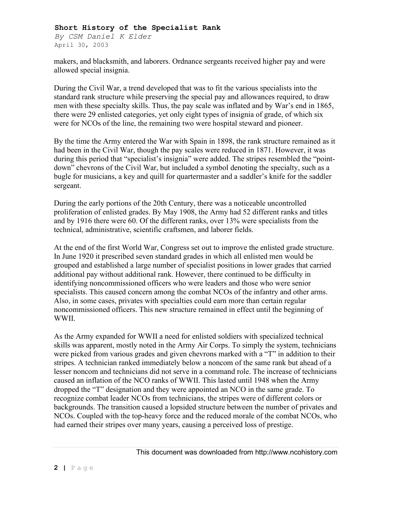## **Short History of the Specialist Rank**

*By CSM Daniel K Elder* April 30, 2003

makers, and blacksmith, and laborers. Ordnance sergeants received higher pay and were allowed special insignia.

During the Civil War, a trend developed that was to fit the various specialists into the standard rank structure while preserving the special pay and allowances required, to draw men with these specialty skills. Thus, the pay scale was inflated and by War's end in 1865, there were 29 enlisted categories, yet only eight types of insignia of grade, of which six were for NCOs of the line, the remaining two were hospital steward and pioneer.

By the time the Army entered the War with Spain in 1898, the rank structure remained as it had been in the Civil War, though the pay scales were reduced in 1871. However, it was during this period that "specialist's insignia" were added. The stripes resembled the "pointdown" chevrons of the Civil War, but included a symbol denoting the specialty, such as a bugle for musicians, a key and quill for quartermaster and a saddler's knife for the saddler sergeant.

During the early portions of the 20th Century, there was a noticeable uncontrolled proliferation of enlisted grades. By May 1908, the Army had 52 different ranks and titles and by 1916 there were 60. Of the different ranks, over 13% were specialists from the technical, administrative, scientific craftsmen, and laborer fields.

At the end of the first World War, Congress set out to improve the enlisted grade structure. In June 1920 it prescribed seven standard grades in which all enlisted men would be grouped and established a large number of specialist positions in lower grades that carried additional pay without additional rank. However, there continued to be difficulty in identifying noncommissioned officers who were leaders and those who were senior specialists. This caused concern among the combat NCOs of the infantry and other arms. Also, in some cases, privates with specialties could earn more than certain regular noncommissioned officers. This new structure remained in effect until the beginning of WWII.

As the Army expanded for WWII a need for enlisted soldiers with specialized technical skills was apparent, mostly noted in the Army Air Corps. To simply the system, technicians were picked from various grades and given chevrons marked with a "T" in addition to their stripes. A technician ranked immediately below a noncom of the same rank but ahead of a lesser noncom and technicians did not serve in a command role. The increase of technicians caused an inflation of the NCO ranks of WWII. This lasted until 1948 when the Army dropped the "T" designation and they were appointed an NCO in the same grade. To recognize combat leader NCOs from technicians, the stripes were of different colors or backgrounds. The transition caused a lopsided structure between the number of privates and NCOs. Coupled with the top-heavy force and the reduced morale of the combat NCOs, who had earned their stripes over many years, causing a perceived loss of prestige.